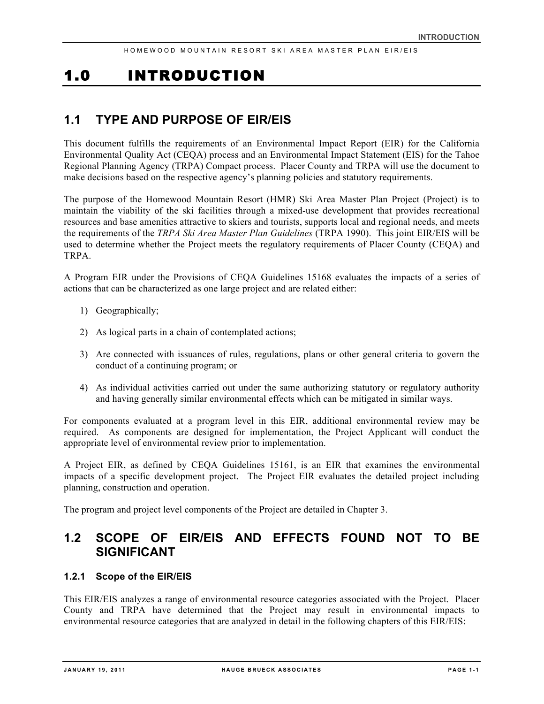# 1.0 INTRODUCTION

### **1.1 TYPE AND PURPOSE OF EIR/EIS**

This document fulfills the requirements of an Environmental Impact Report (EIR) for the California Environmental Quality Act (CEQA) process and an Environmental Impact Statement (EIS) for the Tahoe Regional Planning Agency (TRPA) Compact process. Placer County and TRPA will use the document to make decisions based on the respective agency's planning policies and statutory requirements.

The purpose of the Homewood Mountain Resort (HMR) Ski Area Master Plan Project (Project) is to maintain the viability of the ski facilities through a mixed-use development that provides recreational resources and base amenities attractive to skiers and tourists, supports local and regional needs, and meets the requirements of the *TRPA Ski Area Master Plan Guidelines* (TRPA 1990). This joint EIR/EIS will be used to determine whether the Project meets the regulatory requirements of Placer County (CEQA) and TRPA.

A Program EIR under the Provisions of CEQA Guidelines 15168 evaluates the impacts of a series of actions that can be characterized as one large project and are related either:

- 1) Geographically;
- 2) As logical parts in a chain of contemplated actions;
- 3) Are connected with issuances of rules, regulations, plans or other general criteria to govern the conduct of a continuing program; or
- 4) As individual activities carried out under the same authorizing statutory or regulatory authority and having generally similar environmental effects which can be mitigated in similar ways.

For components evaluated at a program level in this EIR, additional environmental review may be required. As components are designed for implementation, the Project Applicant will conduct the appropriate level of environmental review prior to implementation.

A Project EIR, as defined by CEQA Guidelines 15161, is an EIR that examines the environmental impacts of a specific development project. The Project EIR evaluates the detailed project including planning, construction and operation.

The program and project level components of the Project are detailed in Chapter 3.

### **1.2 SCOPE OF EIR/EIS AND EFFECTS FOUND NOT TO BE SIGNIFICANT**

### **1.2.1 Scope of the EIR/EIS**

This EIR/EIS analyzes a range of environmental resource categories associated with the Project. Placer County and TRPA have determined that the Project may result in environmental impacts to environmental resource categories that are analyzed in detail in the following chapters of this EIR/EIS: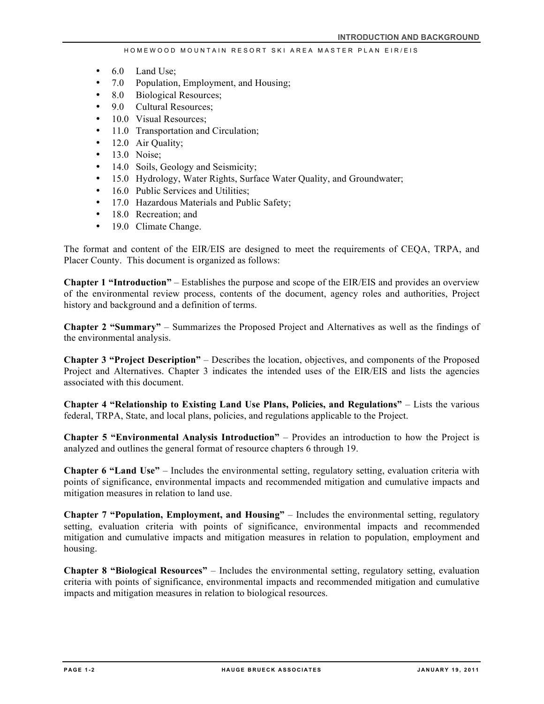- 6.0 Land Use;
- 7.0 Population, Employment, and Housing;
- 8.0 Biological Resources;
- 9.0 Cultural Resources;
- 10.0 Visual Resources:
- 11.0 Transportation and Circulation;
- 12.0 Air Quality;
- 13.0 Noise;
- 14.0 Soils, Geology and Seismicity;
- 15.0 Hydrology, Water Rights, Surface Water Quality, and Groundwater;
- 16.0 Public Services and Utilities;
- 17.0 Hazardous Materials and Public Safety;
- 18.0 Recreation; and
- 19.0 Climate Change.

The format and content of the EIR/EIS are designed to meet the requirements of CEQA, TRPA, and Placer County. This document is organized as follows:

**Chapter 1 "Introduction"** – Establishes the purpose and scope of the EIR/EIS and provides an overview of the environmental review process, contents of the document, agency roles and authorities, Project history and background and a definition of terms.

**Chapter 2 "Summary"** – Summarizes the Proposed Project and Alternatives as well as the findings of the environmental analysis.

**Chapter 3 "Project Description"** – Describes the location, objectives, and components of the Proposed Project and Alternatives. Chapter 3 indicates the intended uses of the EIR/EIS and lists the agencies associated with this document.

**Chapter 4 "Relationship to Existing Land Use Plans, Policies, and Regulations"** – Lists the various federal, TRPA, State, and local plans, policies, and regulations applicable to the Project.

**Chapter 5 "Environmental Analysis Introduction"** – Provides an introduction to how the Project is analyzed and outlines the general format of resource chapters 6 through 19.

**Chapter 6 "Land Use"** – Includes the environmental setting, regulatory setting, evaluation criteria with points of significance, environmental impacts and recommended mitigation and cumulative impacts and mitigation measures in relation to land use.

**Chapter 7 "Population, Employment, and Housing"** – Includes the environmental setting, regulatory setting, evaluation criteria with points of significance, environmental impacts and recommended mitigation and cumulative impacts and mitigation measures in relation to population, employment and housing.

**Chapter 8 "Biological Resources"** – Includes the environmental setting, regulatory setting, evaluation criteria with points of significance, environmental impacts and recommended mitigation and cumulative impacts and mitigation measures in relation to biological resources.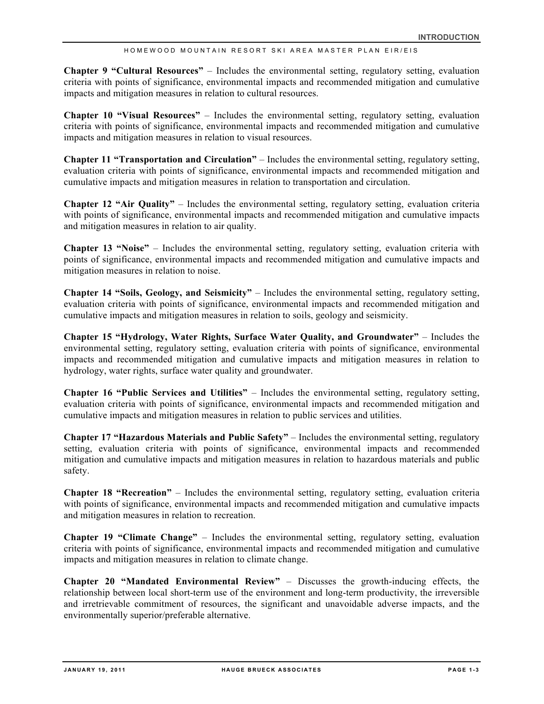**Chapter 9 "Cultural Resources"** – Includes the environmental setting, regulatory setting, evaluation criteria with points of significance, environmental impacts and recommended mitigation and cumulative impacts and mitigation measures in relation to cultural resources.

**Chapter 10 "Visual Resources"** – Includes the environmental setting, regulatory setting, evaluation criteria with points of significance, environmental impacts and recommended mitigation and cumulative impacts and mitigation measures in relation to visual resources.

**Chapter 11 "Transportation and Circulation"** – Includes the environmental setting, regulatory setting, evaluation criteria with points of significance, environmental impacts and recommended mitigation and cumulative impacts and mitigation measures in relation to transportation and circulation.

**Chapter 12 "Air Quality"** – Includes the environmental setting, regulatory setting, evaluation criteria with points of significance, environmental impacts and recommended mitigation and cumulative impacts and mitigation measures in relation to air quality.

**Chapter 13 "Noise"** – Includes the environmental setting, regulatory setting, evaluation criteria with points of significance, environmental impacts and recommended mitigation and cumulative impacts and mitigation measures in relation to noise.

**Chapter 14 "Soils, Geology, and Seismicity"** – Includes the environmental setting, regulatory setting, evaluation criteria with points of significance, environmental impacts and recommended mitigation and cumulative impacts and mitigation measures in relation to soils, geology and seismicity.

**Chapter 15 "Hydrology, Water Rights, Surface Water Quality, and Groundwater"** – Includes the environmental setting, regulatory setting, evaluation criteria with points of significance, environmental impacts and recommended mitigation and cumulative impacts and mitigation measures in relation to hydrology, water rights, surface water quality and groundwater.

**Chapter 16 "Public Services and Utilities"** – Includes the environmental setting, regulatory setting, evaluation criteria with points of significance, environmental impacts and recommended mitigation and cumulative impacts and mitigation measures in relation to public services and utilities.

**Chapter 17 "Hazardous Materials and Public Safety"** – Includes the environmental setting, regulatory setting, evaluation criteria with points of significance, environmental impacts and recommended mitigation and cumulative impacts and mitigation measures in relation to hazardous materials and public safety.

**Chapter 18 "Recreation"** – Includes the environmental setting, regulatory setting, evaluation criteria with points of significance, environmental impacts and recommended mitigation and cumulative impacts and mitigation measures in relation to recreation.

**Chapter 19 "Climate Change"** – Includes the environmental setting, regulatory setting, evaluation criteria with points of significance, environmental impacts and recommended mitigation and cumulative impacts and mitigation measures in relation to climate change.

**Chapter 20 "Mandated Environmental Review"** – Discusses the growth-inducing effects, the relationship between local short-term use of the environment and long-term productivity, the irreversible and irretrievable commitment of resources, the significant and unavoidable adverse impacts, and the environmentally superior/preferable alternative.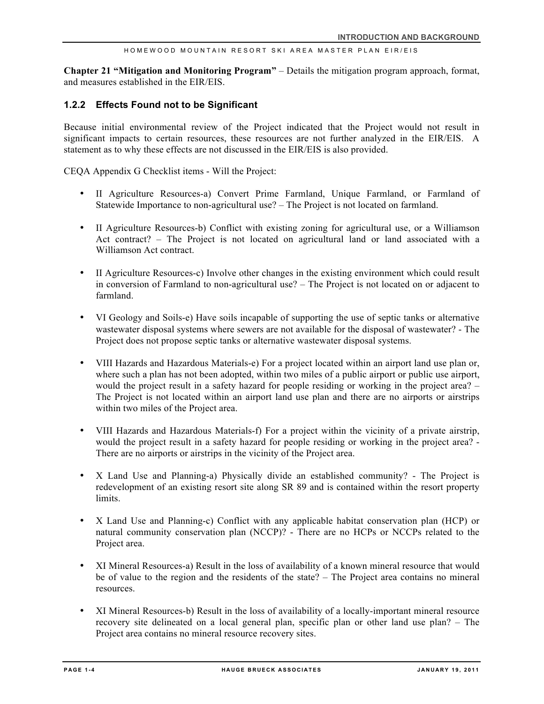#### HOMEW OOD MOUNTAIN RESORT SKI AREA MASTER PLAN EIR/EIS

**Chapter 21 "Mitigation and Monitoring Program"** – Details the mitigation program approach, format, and measures established in the EIR/EIS.

#### **1.2.2 Effects Found not to be Significant**

Because initial environmental review of the Project indicated that the Project would not result in significant impacts to certain resources, these resources are not further analyzed in the EIR/EIS. A statement as to why these effects are not discussed in the EIR/EIS is also provided.

CEQA Appendix G Checklist items - Will the Project:

- II Agriculture Resources-a) Convert Prime Farmland, Unique Farmland, or Farmland of Statewide Importance to non-agricultural use? – The Project is not located on farmland.
- II Agriculture Resources-b) Conflict with existing zoning for agricultural use, or a Williamson Act contract? – The Project is not located on agricultural land or land associated with a Williamson Act contract.
- II Agriculture Resources-c) Involve other changes in the existing environment which could result in conversion of Farmland to non-agricultural use? – The Project is not located on or adjacent to farmland.
- VI Geology and Soils-e) Have soils incapable of supporting the use of septic tanks or alternative wastewater disposal systems where sewers are not available for the disposal of wastewater? - The Project does not propose septic tanks or alternative wastewater disposal systems.
- VIII Hazards and Hazardous Materials-e) For a project located within an airport land use plan or, where such a plan has not been adopted, within two miles of a public airport or public use airport, would the project result in a safety hazard for people residing or working in the project area? – The Project is not located within an airport land use plan and there are no airports or airstrips within two miles of the Project area.
- VIII Hazards and Hazardous Materials-f) For a project within the vicinity of a private airstrip, would the project result in a safety hazard for people residing or working in the project area? - There are no airports or airstrips in the vicinity of the Project area.
- X Land Use and Planning-a) Physically divide an established community? The Project is redevelopment of an existing resort site along SR 89 and is contained within the resort property limits.
- X Land Use and Planning-c) Conflict with any applicable habitat conservation plan (HCP) or natural community conservation plan (NCCP)? - There are no HCPs or NCCPs related to the Project area.
- XI Mineral Resources-a) Result in the loss of availability of a known mineral resource that would be of value to the region and the residents of the state? – The Project area contains no mineral resources.
- XI Mineral Resources-b) Result in the loss of availability of a locally-important mineral resource recovery site delineated on a local general plan, specific plan or other land use plan? – The Project area contains no mineral resource recovery sites.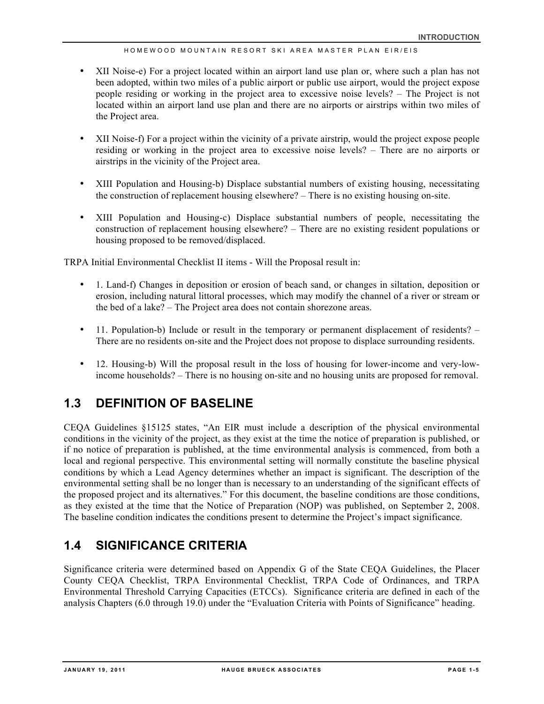#### HOMEWOOD MOUNTAIN RE SORT SKI AREA MASTER PLAN EIR/EIS

- XII Noise-e) For a project located within an airport land use plan or, where such a plan has not been adopted, within two miles of a public airport or public use airport, would the project expose people residing or working in the project area to excessive noise levels? – The Project is not located within an airport land use plan and there are no airports or airstrips within two miles of the Project area.
- XII Noise-f) For a project within the vicinity of a private airstrip, would the project expose people residing or working in the project area to excessive noise levels? – There are no airports or airstrips in the vicinity of the Project area.
- XIII Population and Housing-b) Displace substantial numbers of existing housing, necessitating the construction of replacement housing elsewhere? – There is no existing housing on-site.
- XIII Population and Housing-c) Displace substantial numbers of people, necessitating the construction of replacement housing elsewhere? – There are no existing resident populations or housing proposed to be removed/displaced.

TRPA Initial Environmental Checklist II items - Will the Proposal result in:

- 1. Land-f) Changes in deposition or erosion of beach sand, or changes in siltation, deposition or erosion, including natural littoral processes, which may modify the channel of a river or stream or the bed of a lake? – The Project area does not contain shorezone areas.
- 11. Population-b) Include or result in the temporary or permanent displacement of residents? There are no residents on-site and the Project does not propose to displace surrounding residents.
- 12. Housing-b) Will the proposal result in the loss of housing for lower-income and very-lowincome households? – There is no housing on-site and no housing units are proposed for removal.

### **1.3 DEFINITION OF BASELINE**

CEQA Guidelines §15125 states, "An EIR must include a description of the physical environmental conditions in the vicinity of the project, as they exist at the time the notice of preparation is published, or if no notice of preparation is published, at the time environmental analysis is commenced, from both a local and regional perspective. This environmental setting will normally constitute the baseline physical conditions by which a Lead Agency determines whether an impact is significant. The description of the environmental setting shall be no longer than is necessary to an understanding of the significant effects of the proposed project and its alternatives." For this document, the baseline conditions are those conditions, as they existed at the time that the Notice of Preparation (NOP) was published, on September 2, 2008. The baseline condition indicates the conditions present to determine the Project's impact significance.

### **1.4 SIGNIFICANCE CRITERIA**

Significance criteria were determined based on Appendix G of the State CEQA Guidelines, the Placer County CEQA Checklist, TRPA Environmental Checklist, TRPA Code of Ordinances, and TRPA Environmental Threshold Carrying Capacities (ETCCs). Significance criteria are defined in each of the analysis Chapters (6.0 through 19.0) under the "Evaluation Criteria with Points of Significance" heading.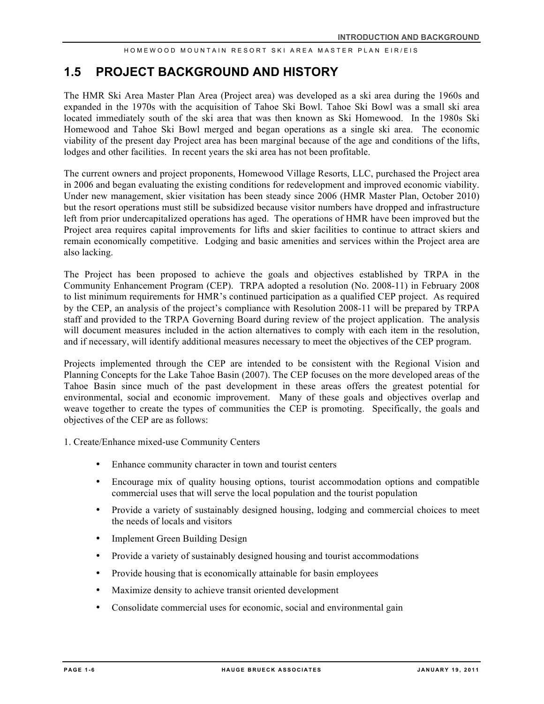### **1.5 PROJECT BACKGROUND AND HISTORY**

The HMR Ski Area Master Plan Area (Project area) was developed as a ski area during the 1960s and expanded in the 1970s with the acquisition of Tahoe Ski Bowl. Tahoe Ski Bowl was a small ski area located immediately south of the ski area that was then known as Ski Homewood. In the 1980s Ski Homewood and Tahoe Ski Bowl merged and began operations as a single ski area. The economic viability of the present day Project area has been marginal because of the age and conditions of the lifts, lodges and other facilities. In recent years the ski area has not been profitable.

The current owners and project proponents, Homewood Village Resorts, LLC, purchased the Project area in 2006 and began evaluating the existing conditions for redevelopment and improved economic viability. Under new management, skier visitation has been steady since 2006 (HMR Master Plan, October 2010) but the resort operations must still be subsidized because visitor numbers have dropped and infrastructure left from prior undercapitalized operations has aged. The operations of HMR have been improved but the Project area requires capital improvements for lifts and skier facilities to continue to attract skiers and remain economically competitive. Lodging and basic amenities and services within the Project area are also lacking.

The Project has been proposed to achieve the goals and objectives established by TRPA in the Community Enhancement Program (CEP). TRPA adopted a resolution (No. 2008-11) in February 2008 to list minimum requirements for HMR's continued participation as a qualified CEP project. As required by the CEP, an analysis of the project's compliance with Resolution 2008-11 will be prepared by TRPA staff and provided to the TRPA Governing Board during review of the project application. The analysis will document measures included in the action alternatives to comply with each item in the resolution, and if necessary, will identify additional measures necessary to meet the objectives of the CEP program.

Projects implemented through the CEP are intended to be consistent with the Regional Vision and Planning Concepts for the Lake Tahoe Basin (2007). The CEP focuses on the more developed areas of the Tahoe Basin since much of the past development in these areas offers the greatest potential for environmental, social and economic improvement. Many of these goals and objectives overlap and weave together to create the types of communities the CEP is promoting. Specifically, the goals and objectives of the CEP are as follows:

- 1. Create/Enhance mixed-use Community Centers
	- Enhance community character in town and tourist centers
	- Encourage mix of quality housing options, tourist accommodation options and compatible commercial uses that will serve the local population and the tourist population
	- Provide a variety of sustainably designed housing, lodging and commercial choices to meet the needs of locals and visitors
	- Implement Green Building Design
	- Provide a variety of sustainably designed housing and tourist accommodations
	- Provide housing that is economically attainable for basin employees
	- Maximize density to achieve transit oriented development
	- Consolidate commercial uses for economic, social and environmental gain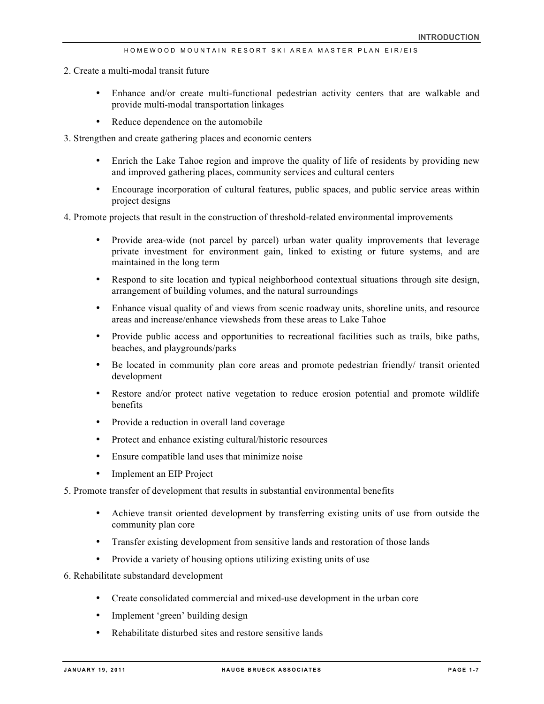- 2. Create a multi-modal transit future
	- Enhance and/or create multi-functional pedestrian activity centers that are walkable and provide multi-modal transportation linkages
	- Reduce dependence on the automobile
- 3. Strengthen and create gathering places and economic centers
	- Enrich the Lake Tahoe region and improve the quality of life of residents by providing new and improved gathering places, community services and cultural centers
	- Encourage incorporation of cultural features, public spaces, and public service areas within project designs
- 4. Promote projects that result in the construction of threshold-related environmental improvements
	- Provide area-wide (not parcel by parcel) urban water quality improvements that leverage private investment for environment gain, linked to existing or future systems, and are maintained in the long term
	- Respond to site location and typical neighborhood contextual situations through site design, arrangement of building volumes, and the natural surroundings
	- Enhance visual quality of and views from scenic roadway units, shoreline units, and resource areas and increase/enhance viewsheds from these areas to Lake Tahoe
	- Provide public access and opportunities to recreational facilities such as trails, bike paths, beaches, and playgrounds/parks
	- Be located in community plan core areas and promote pedestrian friendly/ transit oriented development
	- Restore and/or protect native vegetation to reduce erosion potential and promote wildlife benefits
	- Provide a reduction in overall land coverage
	- Protect and enhance existing cultural/historic resources
	- Ensure compatible land uses that minimize noise
	- Implement an EIP Project
- 5. Promote transfer of development that results in substantial environmental benefits
	- Achieve transit oriented development by transferring existing units of use from outside the community plan core
	- Transfer existing development from sensitive lands and restoration of those lands
	- Provide a variety of housing options utilizing existing units of use
- 6. Rehabilitate substandard development
	- Create consolidated commercial and mixed-use development in the urban core
	- Implement 'green' building design
	- Rehabilitate disturbed sites and restore sensitive lands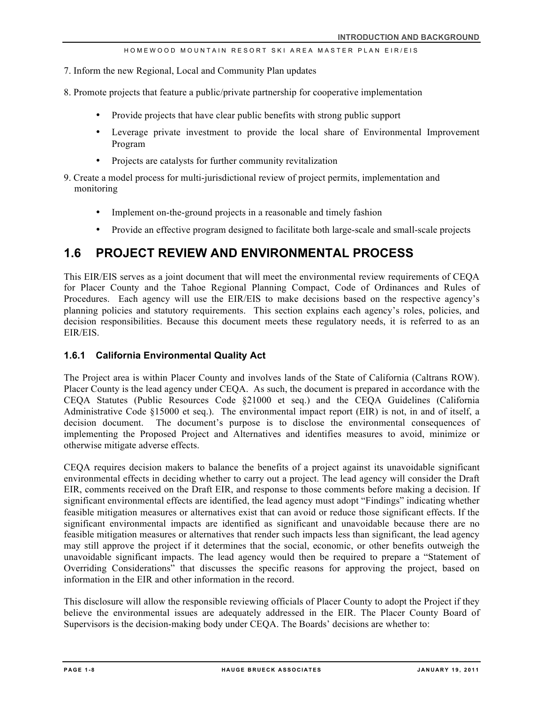- 7. Inform the new Regional, Local and Community Plan updates
- 8. Promote projects that feature a public/private partnership for cooperative implementation
	- Provide projects that have clear public benefits with strong public support
	- Leverage private investment to provide the local share of Environmental Improvement Program
	- Projects are catalysts for further community revitalization
- 9. Create a model process for multi-jurisdictional review of project permits, implementation and monitoring
	- Implement on-the-ground projects in a reasonable and timely fashion
	- Provide an effective program designed to facilitate both large-scale and small-scale projects

### **1.6 PROJECT REVIEW AND ENVIRONMENTAL PROCESS**

This EIR/EIS serves as a joint document that will meet the environmental review requirements of CEQA for Placer County and the Tahoe Regional Planning Compact, Code of Ordinances and Rules of Procedures. Each agency will use the EIR/EIS to make decisions based on the respective agency's planning policies and statutory requirements. This section explains each agency's roles, policies, and decision responsibilities. Because this document meets these regulatory needs, it is referred to as an EIR/EIS.

### **1.6.1 California Environmental Quality Act**

The Project area is within Placer County and involves lands of the State of California (Caltrans ROW). Placer County is the lead agency under CEQA. As such, the document is prepared in accordance with the CEQA Statutes (Public Resources Code §21000 et seq.) and the CEQA Guidelines (California Administrative Code §15000 et seq.). The environmental impact report (EIR) is not, in and of itself, a decision document. The document's purpose is to disclose the environmental consequences of implementing the Proposed Project and Alternatives and identifies measures to avoid, minimize or otherwise mitigate adverse effects.

CEQA requires decision makers to balance the benefits of a project against its unavoidable significant environmental effects in deciding whether to carry out a project. The lead agency will consider the Draft EIR, comments received on the Draft EIR, and response to those comments before making a decision. If significant environmental effects are identified, the lead agency must adopt "Findings" indicating whether feasible mitigation measures or alternatives exist that can avoid or reduce those significant effects. If the significant environmental impacts are identified as significant and unavoidable because there are no feasible mitigation measures or alternatives that render such impacts less than significant, the lead agency may still approve the project if it determines that the social, economic, or other benefits outweigh the unavoidable significant impacts. The lead agency would then be required to prepare a "Statement of Overriding Considerations" that discusses the specific reasons for approving the project, based on information in the EIR and other information in the record.

This disclosure will allow the responsible reviewing officials of Placer County to adopt the Project if they believe the environmental issues are adequately addressed in the EIR. The Placer County Board of Supervisors is the decision-making body under CEQA. The Boards' decisions are whether to: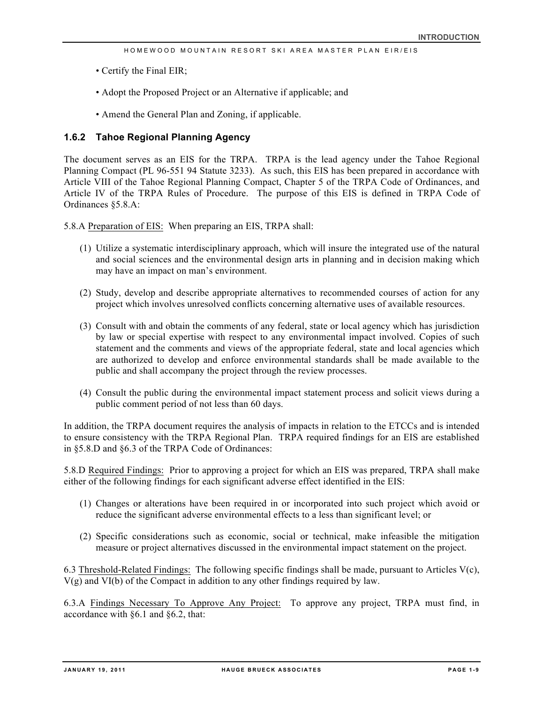- Certify the Final EIR;
- Adopt the Proposed Project or an Alternative if applicable; and
- Amend the General Plan and Zoning, if applicable.

### **1.6.2 Tahoe Regional Planning Agency**

The document serves as an EIS for the TRPA. TRPA is the lead agency under the Tahoe Regional Planning Compact (PL 96-551 94 Statute 3233). As such, this EIS has been prepared in accordance with Article VIII of the Tahoe Regional Planning Compact, Chapter 5 of the TRPA Code of Ordinances, and Article IV of the TRPA Rules of Procedure. The purpose of this EIS is defined in TRPA Code of Ordinances §5.8.A:

5.8.A Preparation of EIS: When preparing an EIS, TRPA shall:

- (1) Utilize a systematic interdisciplinary approach, which will insure the integrated use of the natural and social sciences and the environmental design arts in planning and in decision making which may have an impact on man's environment.
- (2) Study, develop and describe appropriate alternatives to recommended courses of action for any project which involves unresolved conflicts concerning alternative uses of available resources.
- (3) Consult with and obtain the comments of any federal, state or local agency which has jurisdiction by law or special expertise with respect to any environmental impact involved. Copies of such statement and the comments and views of the appropriate federal, state and local agencies which are authorized to develop and enforce environmental standards shall be made available to the public and shall accompany the project through the review processes.
- (4) Consult the public during the environmental impact statement process and solicit views during a public comment period of not less than 60 days.

In addition, the TRPA document requires the analysis of impacts in relation to the ETCCs and is intended to ensure consistency with the TRPA Regional Plan. TRPA required findings for an EIS are established in §5.8.D and §6.3 of the TRPA Code of Ordinances:

5.8.D Required Findings: Prior to approving a project for which an EIS was prepared, TRPA shall make either of the following findings for each significant adverse effect identified in the EIS:

- (1) Changes or alterations have been required in or incorporated into such project which avoid or reduce the significant adverse environmental effects to a less than significant level; or
- (2) Specific considerations such as economic, social or technical, make infeasible the mitigation measure or project alternatives discussed in the environmental impact statement on the project.

6.3 Threshold-Related Findings: The following specific findings shall be made, pursuant to Articles V(c), V(g) and VI(b) of the Compact in addition to any other findings required by law.

6.3.A Findings Necessary To Approve Any Project: To approve any project, TRPA must find, in accordance with §6.1 and §6.2, that: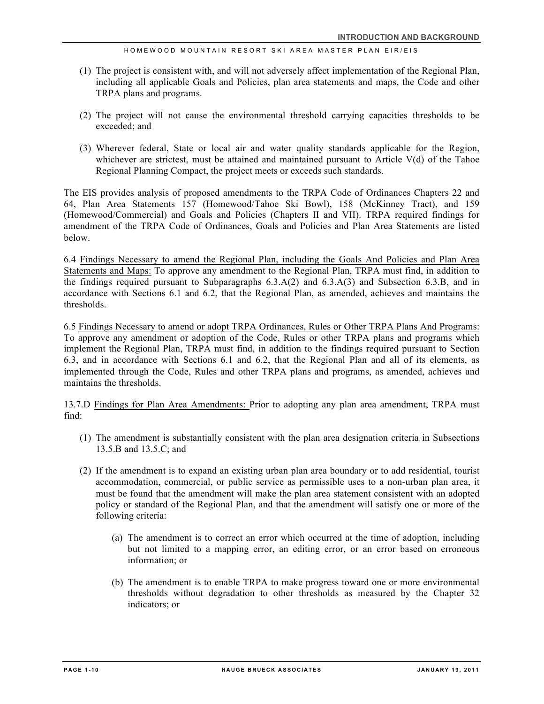#### HOMEW OOD MOUNTAIN RESORT SKI AREA MASTER PLAN EIR/EIS

- (1) The project is consistent with, and will not adversely affect implementation of the Regional Plan, including all applicable Goals and Policies, plan area statements and maps, the Code and other TRPA plans and programs.
- (2) The project will not cause the environmental threshold carrying capacities thresholds to be exceeded; and
- (3) Wherever federal, State or local air and water quality standards applicable for the Region, whichever are strictest, must be attained and maintained pursuant to Article V(d) of the Tahoe Regional Planning Compact, the project meets or exceeds such standards.

The EIS provides analysis of proposed amendments to the TRPA Code of Ordinances Chapters 22 and 64, Plan Area Statements 157 (Homewood/Tahoe Ski Bowl), 158 (McKinney Tract), and 159 (Homewood/Commercial) and Goals and Policies (Chapters II and VII). TRPA required findings for amendment of the TRPA Code of Ordinances, Goals and Policies and Plan Area Statements are listed below.

6.4 Findings Necessary to amend the Regional Plan, including the Goals And Policies and Plan Area Statements and Maps: To approve any amendment to the Regional Plan, TRPA must find, in addition to the findings required pursuant to Subparagraphs 6.3.A(2) and 6.3.A(3) and Subsection 6.3.B, and in accordance with Sections 6.1 and 6.2, that the Regional Plan, as amended, achieves and maintains the thresholds.

6.5 Findings Necessary to amend or adopt TRPA Ordinances, Rules or Other TRPA Plans And Programs: To approve any amendment or adoption of the Code, Rules or other TRPA plans and programs which implement the Regional Plan, TRPA must find, in addition to the findings required pursuant to Section 6.3, and in accordance with Sections 6.1 and 6.2, that the Regional Plan and all of its elements, as implemented through the Code, Rules and other TRPA plans and programs, as amended, achieves and maintains the thresholds.

13.7.D Findings for Plan Area Amendments: Prior to adopting any plan area amendment, TRPA must find:

- (1) The amendment is substantially consistent with the plan area designation criteria in Subsections 13.5.B and 13.5.C; and
- (2) If the amendment is to expand an existing urban plan area boundary or to add residential, tourist accommodation, commercial, or public service as permissible uses to a non-urban plan area, it must be found that the amendment will make the plan area statement consistent with an adopted policy or standard of the Regional Plan, and that the amendment will satisfy one or more of the following criteria:
	- (a) The amendment is to correct an error which occurred at the time of adoption, including but not limited to a mapping error, an editing error, or an error based on erroneous information; or
	- (b) The amendment is to enable TRPA to make progress toward one or more environmental thresholds without degradation to other thresholds as measured by the Chapter 32 indicators; or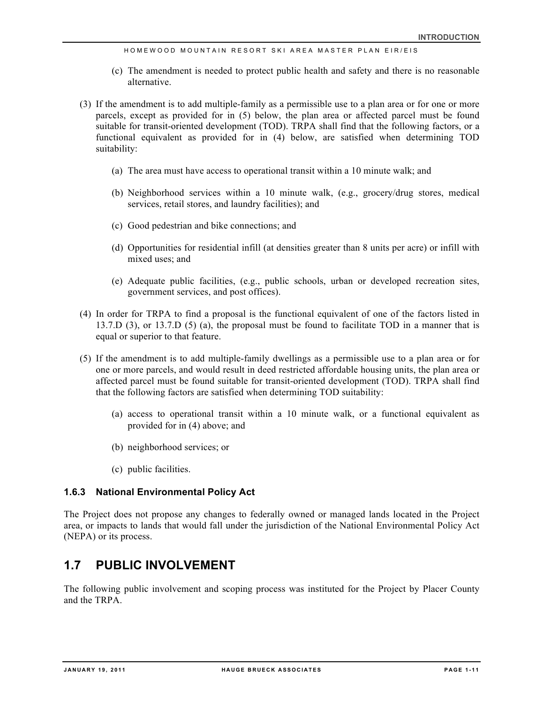HOMEWOOD MOUNTAIN RE SORT SKI AREA MASTER PLAN EIR/EIS

- (c) The amendment is needed to protect public health and safety and there is no reasonable alternative.
- (3) If the amendment is to add multiple-family as a permissible use to a plan area or for one or more parcels, except as provided for in (5) below, the plan area or affected parcel must be found suitable for transit-oriented development (TOD). TRPA shall find that the following factors, or a functional equivalent as provided for in (4) below, are satisfied when determining TOD suitability:
	- (a) The area must have access to operational transit within a 10 minute walk; and
	- (b) Neighborhood services within a 10 minute walk, (e.g., grocery/drug stores, medical services, retail stores, and laundry facilities); and
	- (c) Good pedestrian and bike connections; and
	- (d) Opportunities for residential infill (at densities greater than 8 units per acre) or infill with mixed uses; and
	- (e) Adequate public facilities, (e.g., public schools, urban or developed recreation sites, government services, and post offices).
- (4) In order for TRPA to find a proposal is the functional equivalent of one of the factors listed in 13.7.D (3), or 13.7.D (5) (a), the proposal must be found to facilitate TOD in a manner that is equal or superior to that feature.
- (5) If the amendment is to add multiple-family dwellings as a permissible use to a plan area or for one or more parcels, and would result in deed restricted affordable housing units, the plan area or affected parcel must be found suitable for transit-oriented development (TOD). TRPA shall find that the following factors are satisfied when determining TOD suitability:
	- (a) access to operational transit within a 10 minute walk, or a functional equivalent as provided for in (4) above; and
	- (b) neighborhood services; or
	- (c) public facilities.

### **1.6.3 National Environmental Policy Act**

The Project does not propose any changes to federally owned or managed lands located in the Project area, or impacts to lands that would fall under the jurisdiction of the National Environmental Policy Act (NEPA) or its process.

### **1.7 PUBLIC INVOLVEMENT**

The following public involvement and scoping process was instituted for the Project by Placer County and the TRPA.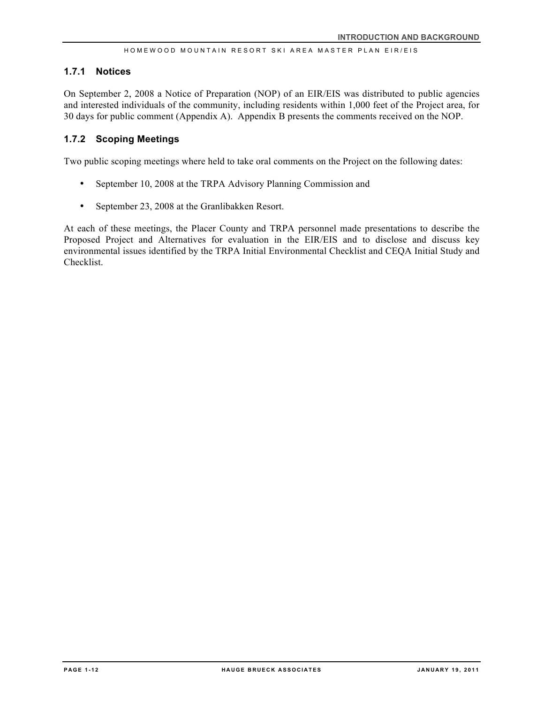#### **1.7.1 Notices**

On September 2, 2008 a Notice of Preparation (NOP) of an EIR/EIS was distributed to public agencies and interested individuals of the community, including residents within 1,000 feet of the Project area, for 30 days for public comment (Appendix A). Appendix B presents the comments received on the NOP.

### **1.7.2 Scoping Meetings**

Two public scoping meetings where held to take oral comments on the Project on the following dates:

- September 10, 2008 at the TRPA Advisory Planning Commission and
- September 23, 2008 at the Granlibakken Resort.

At each of these meetings, the Placer County and TRPA personnel made presentations to describe the Proposed Project and Alternatives for evaluation in the EIR/EIS and to disclose and discuss key environmental issues identified by the TRPA Initial Environmental Checklist and CEQA Initial Study and Checklist.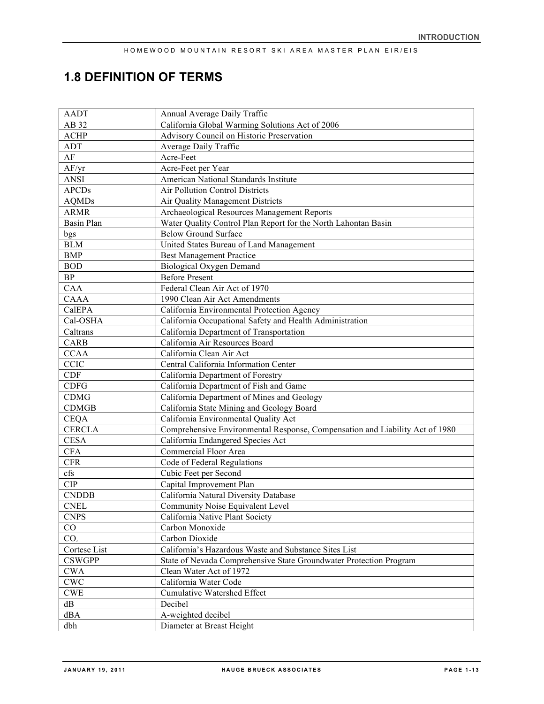## **1.8 DEFINITION OF TERMS**

| <b>AADT</b>               | Annual Average Daily Traffic                                                 |  |  |  |
|---------------------------|------------------------------------------------------------------------------|--|--|--|
| AB 32                     | California Global Warming Solutions Act of 2006                              |  |  |  |
| <b>ACHP</b>               | Advisory Council on Historic Preservation                                    |  |  |  |
| <b>ADT</b>                | Average Daily Traffic                                                        |  |  |  |
| AF                        | Acre-Feet                                                                    |  |  |  |
| AF/yr                     | Acre-Feet per Year                                                           |  |  |  |
| <b>ANSI</b>               | American National Standards Institute                                        |  |  |  |
| <b>APCDs</b>              | <b>Air Pollution Control Districts</b>                                       |  |  |  |
| <b>AQMDs</b>              | Air Quality Management Districts                                             |  |  |  |
| <b>ARMR</b>               | Archaeological Resources Management Reports                                  |  |  |  |
| <b>Basin Plan</b>         | Water Quality Control Plan Report for the North Lahontan Basin               |  |  |  |
| bgs                       | <b>Below Ground Surface</b>                                                  |  |  |  |
| $BLM$                     | United States Bureau of Land Management                                      |  |  |  |
| <b>BMP</b>                | <b>Best Management Practice</b>                                              |  |  |  |
| <b>BOD</b>                | <b>Biological Oxygen Demand</b>                                              |  |  |  |
| $\rm BP$                  | <b>Before Present</b>                                                        |  |  |  |
| CAA                       | Federal Clean Air Act of 1970                                                |  |  |  |
| CAAA                      | 1990 Clean Air Act Amendments                                                |  |  |  |
|                           |                                                                              |  |  |  |
| CalEPA                    | California Environmental Protection Agency                                   |  |  |  |
| Cal-OSHA                  | California Occupational Safety and Health Administration                     |  |  |  |
| Caltrans                  | California Department of Transportation                                      |  |  |  |
| <b>CARB</b>               | California Air Resources Board                                               |  |  |  |
| <b>CCAA</b>               | California Clean Air Act                                                     |  |  |  |
| <b>CCIC</b>               | Central California Information Center                                        |  |  |  |
| <b>CDF</b>                | California Department of Forestry                                            |  |  |  |
| <b>CDFG</b>               | California Department of Fish and Game                                       |  |  |  |
| <b>CDMG</b>               | California Department of Mines and Geology                                   |  |  |  |
| <b>CDMGB</b>              | California State Mining and Geology Board                                    |  |  |  |
| <b>CEQA</b>               | California Environmental Quality Act                                         |  |  |  |
| <b>CERCLA</b>             | Comprehensive Environmental Response, Compensation and Liability Act of 1980 |  |  |  |
| <b>CESA</b>               | California Endangered Species Act                                            |  |  |  |
| <b>CFA</b>                | Commercial Floor Area                                                        |  |  |  |
| <b>CFR</b>                | Code of Federal Regulations                                                  |  |  |  |
| cfs                       | Cubic Feet per Second                                                        |  |  |  |
| <b>CIP</b>                | Capital Improvement Plan                                                     |  |  |  |
| <b>CNDDB</b>              | California Natural Diversity Database                                        |  |  |  |
| <b>CNEL</b>               | Community Noise Equivalent Level                                             |  |  |  |
| <b>CNPS</b>               | California Native Plant Society                                              |  |  |  |
| $\rm CO$                  | Carbon Monoxide                                                              |  |  |  |
| CO <sub>2</sub>           | Carbon Dioxide                                                               |  |  |  |
| Cortese List              | California's Hazardous Waste and Substance Sites List                        |  |  |  |
| <b>CSWGPP</b>             | State of Nevada Comprehensive State Groundwater Protection Program           |  |  |  |
| <b>CWA</b>                | Clean Water Act of 1972                                                      |  |  |  |
| $\ensuremath{\text{CWC}}$ | California Water Code                                                        |  |  |  |
| <b>CWE</b>                | <b>Cumulative Watershed Effect</b>                                           |  |  |  |
| dB                        | Decibel                                                                      |  |  |  |
| dBA                       | A-weighted decibel                                                           |  |  |  |
|                           |                                                                              |  |  |  |
| dbh                       | Diameter at Breast Height                                                    |  |  |  |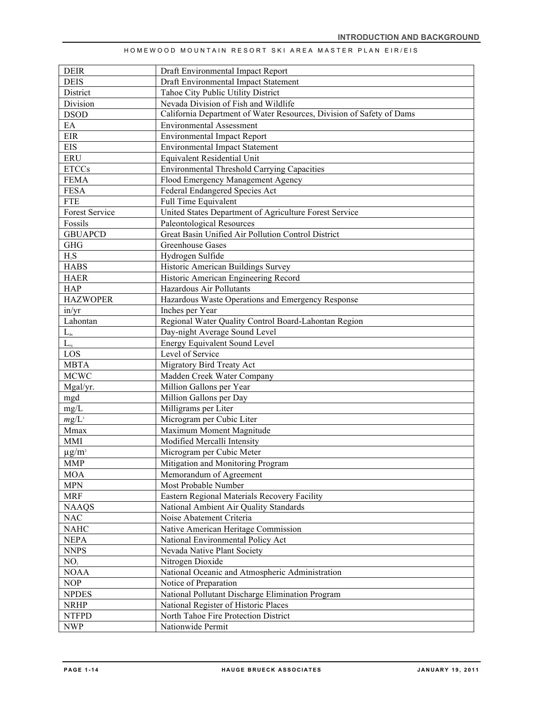| HOMEWOOD MOUNTAIN RESORT SKI AREA MASTER PLAN EIR/EIS |  |  |  |  |  |  |  |
|-------------------------------------------------------|--|--|--|--|--|--|--|
|-------------------------------------------------------|--|--|--|--|--|--|--|

| <b>DEIR</b>                        | Draft Environmental Impact Report                                    |
|------------------------------------|----------------------------------------------------------------------|
| <b>DEIS</b>                        | Draft Environmental Impact Statement                                 |
| District                           | Tahoe City Public Utility District                                   |
| Division                           | Nevada Division of Fish and Wildlife                                 |
| <b>DSOD</b>                        | California Department of Water Resources, Division of Safety of Dams |
| EA                                 | <b>Environmental Assessment</b>                                      |
| EIR                                | <b>Environmental Impact Report</b>                                   |
| <b>EIS</b>                         | <b>Environmental Impact Statement</b>                                |
| <b>ERU</b>                         | Equivalent Residential Unit                                          |
| <b>ETCCs</b>                       | <b>Environmental Threshold Carrying Capacities</b>                   |
| <b>FEMA</b>                        | Flood Emergency Management Agency                                    |
| <b>FESA</b>                        | Federal Endangered Species Act                                       |
| <b>FTE</b>                         | Full Time Equivalent                                                 |
| <b>Forest Service</b>              | United States Department of Agriculture Forest Service               |
| Fossils                            | <b>Paleontological Resources</b>                                     |
| <b>GBUAPCD</b>                     | Great Basin Unified Air Pollution Control District                   |
| <b>GHG</b>                         | Greenhouse Gases                                                     |
| $H_2S$                             | Hydrogen Sulfide                                                     |
| <b>HABS</b>                        | Historic American Buildings Survey                                   |
| <b>HAER</b>                        | Historic American Engineering Record                                 |
| <b>HAP</b>                         | Hazardous Air Pollutants                                             |
| <b>HAZWOPER</b>                    | Hazardous Waste Operations and Emergency Response                    |
| in/yr                              | Inches per Year                                                      |
| Lahontan                           | Regional Water Quality Control Board-Lahontan Region                 |
| $L_{\scriptscriptstyle \text{dn}}$ | Day-night Average Sound Level                                        |
| $L_{eq}$                           | <b>Energy Equivalent Sound Level</b>                                 |
| LOS                                | Level of Service                                                     |
| <b>MBTA</b>                        | Migratory Bird Treaty Act                                            |
| <b>MCWC</b>                        | Madden Creek Water Company                                           |
| Mgal/yr.                           | Million Gallons per Year                                             |
| mgd                                | Million Gallons per Day                                              |
| mg/L                               | Milligrams per Liter                                                 |
| $mg/L^3$                           | Microgram per Cubic Liter                                            |
| Mmax                               | Maximum Moment Magnitude                                             |
| <b>MMI</b>                         | Modified Mercalli Intensity                                          |
| $\mu$ g/m <sup>3</sup>             | Microgram per Cubic Meter                                            |
| MMP                                | Mitigation and Monitoring Program                                    |
| <b>MOA</b>                         | Memorandum of Agreement                                              |
| <b>MPN</b>                         | Most Probable Number                                                 |
| <b>MRF</b>                         | Eastern Regional Materials Recovery Facility                         |
| <b>NAAQS</b>                       | National Ambient Air Quality Standards                               |
| <b>NAC</b>                         | Noise Abatement Criteria                                             |
| <b>NAHC</b>                        | Native American Heritage Commission                                  |
| <b>NEPA</b>                        | National Environmental Policy Act                                    |
| <b>NNPS</b>                        | Nevada Native Plant Society                                          |
| NO <sub>2</sub>                    | Nitrogen Dioxide                                                     |
| <b>NOAA</b>                        | National Oceanic and Atmospheric Administration                      |
| <b>NOP</b>                         | Notice of Preparation                                                |
| <b>NPDES</b>                       | National Pollutant Discharge Elimination Program                     |
| <b>NRHP</b>                        | National Register of Historic Places                                 |
| <b>NTFPD</b>                       | North Tahoe Fire Protection District                                 |
| <b>NWP</b>                         | Nationwide Permit                                                    |